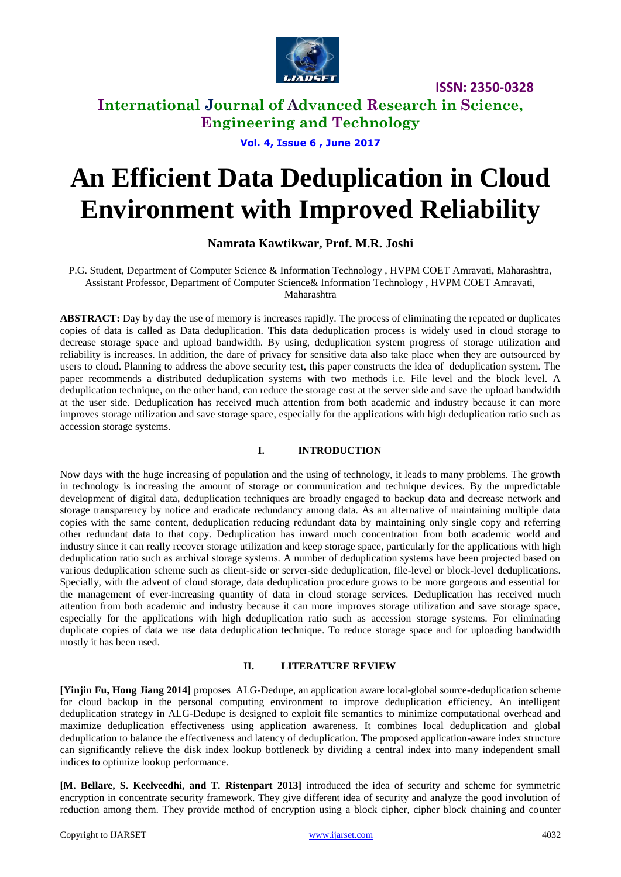

# **International Journal of Advanced Research in Science, Engineering and Technology**

**Vol. 4, Issue 6 , June 2017**

# **An Efficient Data Deduplication in Cloud Environment with Improved Reliability**

## **Namrata Kawtikwar, Prof. M.R. Joshi**

P.G. Student, Department of Computer Science & Information Technology , HVPM COET Amravati, Maharashtra, Assistant Professor, Department of Computer Science& Information Technology , HVPM COET Amravati, Maharashtra

**ABSTRACT:** Day by day the use of memory is increases rapidly. The process of eliminating the repeated or duplicates copies of data is called as Data deduplication. This data deduplication process is widely used in cloud storage to decrease storage space and upload bandwidth. By using, deduplication system progress of storage utilization and reliability is increases. In addition, the dare of privacy for sensitive data also take place when they are outsourced by users to cloud. Planning to address the above security test, this paper constructs the idea of deduplication system. The paper recommends a distributed deduplication systems with two methods i.e. File level and the block level. A deduplication technique, on the other hand, can reduce the storage cost at the server side and save the upload bandwidth at the user side. Deduplication has received much attention from both academic and industry because it can more improves storage utilization and save storage space, especially for the applications with high deduplication ratio such as accession storage systems.

## **I. INTRODUCTION**

Now days with the huge increasing of population and the using of technology, it leads to many problems. The growth in technology is increasing the amount of storage or communication and technique devices. By the unpredictable development of digital data, deduplication techniques are broadly engaged to backup data and decrease network and storage transparency by notice and eradicate redundancy among data. As an alternative of maintaining multiple data copies with the same content, deduplication reducing redundant data by maintaining only single copy and referring other redundant data to that copy. Deduplication has inward much concentration from both academic world and industry since it can really recover storage utilization and keep storage space, particularly for the applications with high deduplication ratio such as archival storage systems. A number of deduplication systems have been projected based on various deduplication scheme such as client-side or server-side deduplication, file-level or block-level deduplications. Specially, with the advent of cloud storage, data deduplication procedure grows to be more gorgeous and essential for the management of ever-increasing quantity of data in cloud storage services. Deduplication has received much attention from both academic and industry because it can more improves storage utilization and save storage space, especially for the applications with high deduplication ratio such as accession storage systems. For eliminating duplicate copies of data we use data deduplication technique. To reduce storage space and for uploading bandwidth mostly it has been used.

#### **II. LITERATURE REVIEW**

**[Yinjin Fu, Hong Jiang 2014]** proposes ALG-Dedupe, an application aware local-global source-deduplication scheme for cloud backup in the personal computing environment to improve deduplication efficiency. An intelligent deduplication strategy in ALG-Dedupe is designed to exploit file semantics to minimize computational overhead and maximize deduplication effectiveness using application awareness. It combines local deduplication and global deduplication to balance the effectiveness and latency of deduplication. The proposed application-aware index structure can significantly relieve the disk index lookup bottleneck by dividing a central index into many independent small indices to optimize lookup performance.

**[M. Bellare, S. Keelveedhi, and T. Ristenpart 2013]** introduced the idea of security and scheme for symmetric encryption in concentrate security framework. They give different idea of security and analyze the good involution of reduction among them. They provide method of encryption using a block cipher, cipher block chaining and counter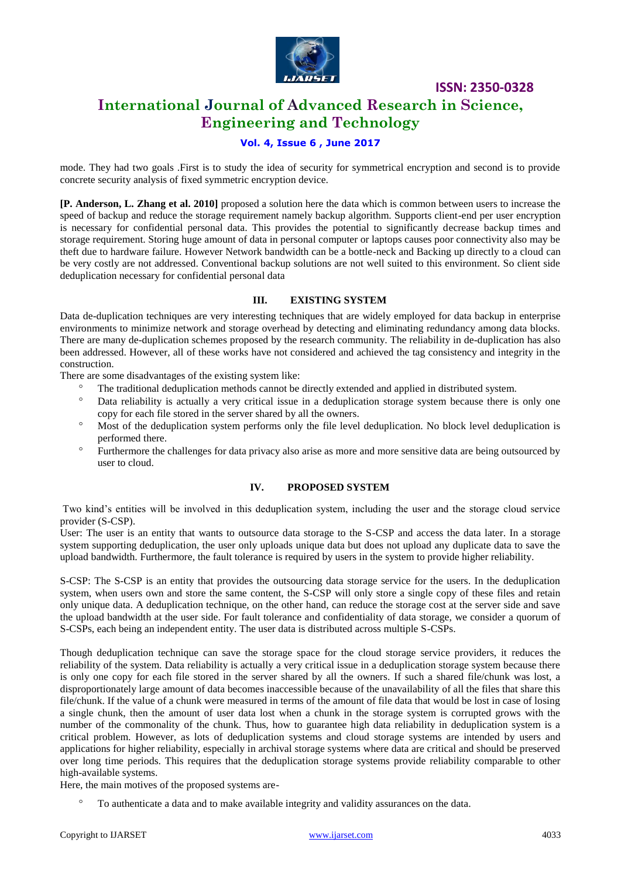

# **International Journal of Advanced Research in Science, Engineering and Technology**

## **Vol. 4, Issue 6 , June 2017**

mode. They had two goals .First is to study the idea of security for symmetrical encryption and second is to provide concrete security analysis of fixed symmetric encryption device.

**[P. Anderson, L. Zhang et al. 2010]** proposed a solution here the data which is common between users to increase the speed of backup and reduce the storage requirement namely backup algorithm. Supports client-end per user encryption is necessary for confidential personal data. This provides the potential to significantly decrease backup times and storage requirement. Storing huge amount of data in personal computer or laptops causes poor connectivity also may be theft due to hardware failure. However Network bandwidth can be a bottle-neck and Backing up directly to a cloud can be very costly are not addressed. Conventional backup solutions are not well suited to this environment. So client side deduplication necessary for confidential personal data

#### **III. EXISTING SYSTEM**

Data de-duplication techniques are very interesting techniques that are widely employed for data backup in enterprise environments to minimize network and storage overhead by detecting and eliminating redundancy among data blocks. There are many de-duplication schemes proposed by the research community. The reliability in de-duplication has also been addressed. However, all of these works have not considered and achieved the tag consistency and integrity in the construction.

There are some disadvantages of the existing system like:

- The traditional deduplication methods cannot be directly extended and applied in distributed system.
- Data reliability is actually a very critical issue in a deduplication storage system because there is only one copy for each file stored in the server shared by all the owners.
- <sup>o</sup> Most of the deduplication system performs only the file level deduplication. No block level deduplication is performed there.
- <sup>o</sup> Furthermore the challenges for data privacy also arise as more and more sensitive data are being outsourced by user to cloud.

#### **IV. PROPOSED SYSTEM**

Two kind's entities will be involved in this deduplication system, including the user and the storage cloud service provider (S-CSP).

User: The user is an entity that wants to outsource data storage to the S-CSP and access the data later. In a storage system supporting deduplication, the user only uploads unique data but does not upload any duplicate data to save the upload bandwidth. Furthermore, the fault tolerance is required by users in the system to provide higher reliability.

S-CSP: The S-CSP is an entity that provides the outsourcing data storage service for the users. In the deduplication system, when users own and store the same content, the S-CSP will only store a single copy of these files and retain only unique data. A deduplication technique, on the other hand, can reduce the storage cost at the server side and save the upload bandwidth at the user side. For fault tolerance and confidentiality of data storage, we consider a quorum of S-CSPs, each being an independent entity. The user data is distributed across multiple S-CSPs.

Though deduplication technique can save the storage space for the cloud storage service providers, it reduces the reliability of the system. Data reliability is actually a very critical issue in a deduplication storage system because there is only one copy for each file stored in the server shared by all the owners. If such a shared file/chunk was lost, a disproportionately large amount of data becomes inaccessible because of the unavailability of all the files that share this file/chunk. If the value of a chunk were measured in terms of the amount of file data that would be lost in case of losing a single chunk, then the amount of user data lost when a chunk in the storage system is corrupted grows with the number of the commonality of the chunk. Thus, how to guarantee high data reliability in deduplication system is a critical problem. However, as lots of deduplication systems and cloud storage systems are intended by users and applications for higher reliability, especially in archival storage systems where data are critical and should be preserved over long time periods. This requires that the deduplication storage systems provide reliability comparable to other high-available systems.

Here, the main motives of the proposed systems are-

To authenticate a data and to make available integrity and validity assurances on the data.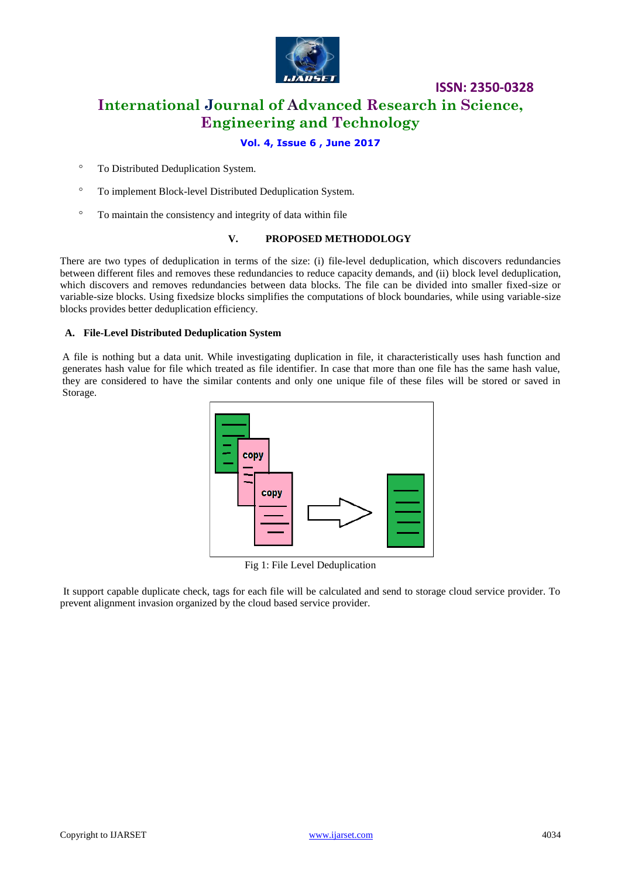

# **ISSN: 2350-0328 International Journal of Advanced Research in Science, Engineering and Technology**

## **Vol. 4, Issue 6 , June 2017**

- <sup>o</sup> To Distributed Deduplication System.
- To implement Block-level Distributed Deduplication System.
- To maintain the consistency and integrity of data within file

#### **V. PROPOSED METHODOLOGY**

There are two types of deduplication in terms of the size: (i) file-level deduplication, which discovers redundancies between different files and removes these redundancies to reduce capacity demands, and (ii) block level deduplication, which discovers and removes redundancies between data blocks. The file can be divided into smaller fixed-size or variable-size blocks. Using fixedsize blocks simplifies the computations of block boundaries, while using variable-size blocks provides better deduplication efficiency.

#### **A. File-Level Distributed Deduplication System**

A file is nothing but a data unit. While investigating duplication in file, it characteristically uses hash function and generates hash value for file which treated as file identifier. In case that more than one file has the same hash value, they are considered to have the similar contents and only one unique file of these files will be stored or saved in Storage.



Fig 1: File Level Deduplication

It support capable duplicate check, tags for each file will be calculated and send to storage cloud service provider. To prevent alignment invasion organized by the cloud based service provider.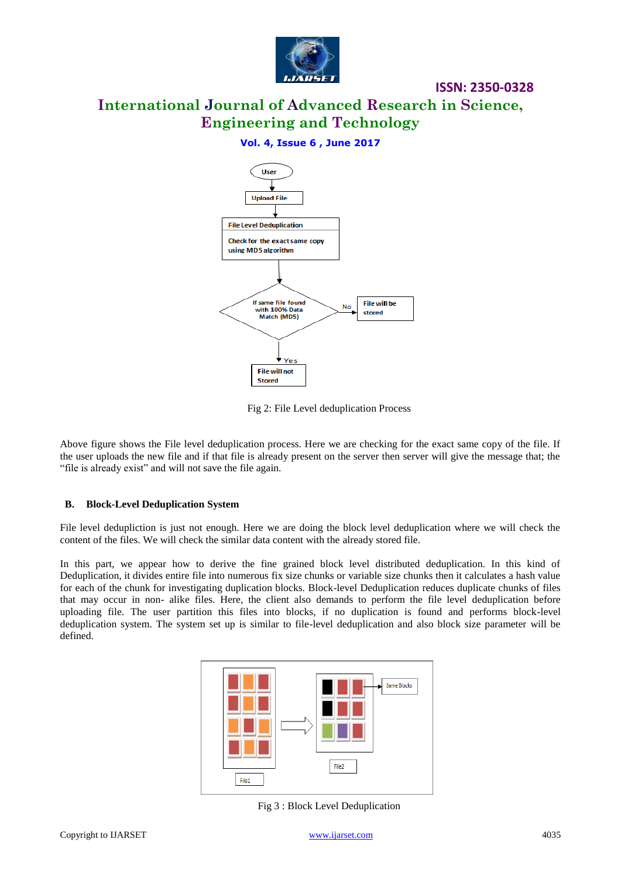

# **International Journal of Advanced Research in Science, Engineering and Technology**

## **Vol. 4, Issue 6 , June 2017**



Fig 2: File Level deduplication Process

Above figure shows the File level deduplication process. Here we are checking for the exact same copy of the file. If the user uploads the new file and if that file is already present on the server then server will give the message that; the "file is already exist" and will not save the file again.

#### **B. Block-Level Deduplication System**

File level dedupliction is just not enough. Here we are doing the block level deduplication where we will check the content of the files. We will check the similar data content with the already stored file.

In this part, we appear how to derive the fine grained block level distributed deduplication. In this kind of Deduplication, it divides entire file into numerous fix size chunks or variable size chunks then it calculates a hash value for each of the chunk for investigating duplication blocks. Block-level Deduplication reduces duplicate chunks of files that may occur in non- alike files. Here, the client also demands to perform the file level deduplication before uploading file. The user partition this files into blocks, if no duplication is found and performs block-level deduplication system. The system set up is similar to file-level deduplication and also block size parameter will be defined.



Fig 3 : Block Level Deduplication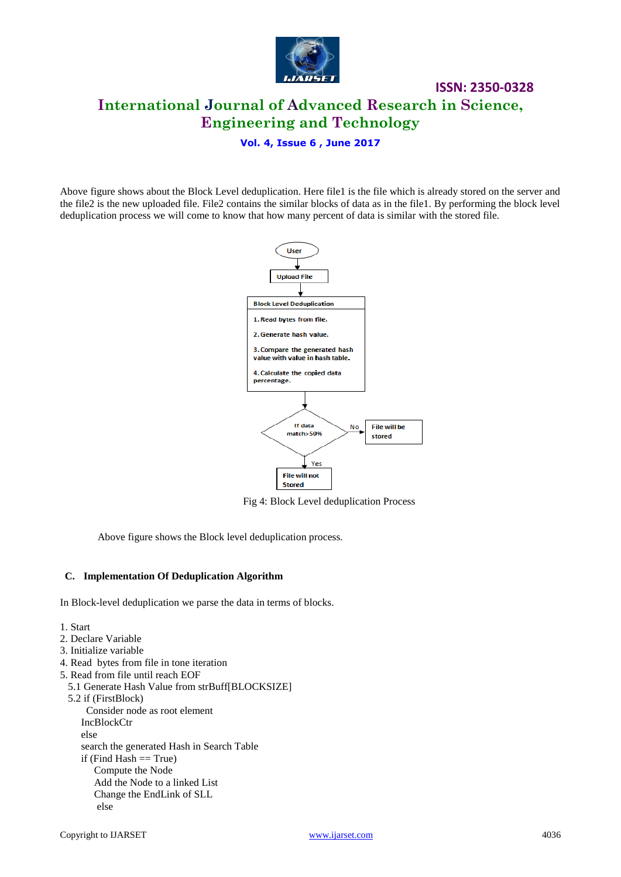

**ISSN: 2350-0328 International Journal of Advanced Research in Science, Engineering and Technology**

#### **Vol. 4, Issue 6 , June 2017**

Above figure shows about the Block Level deduplication. Here file1 is the file which is already stored on the server and the file2 is the new uploaded file. File2 contains the similar blocks of data as in the file1. By performing the block level deduplication process we will come to know that how many percent of data is similar with the stored file.



Fig 4: Block Level deduplication Process

Above figure shows the Block level deduplication process.

#### **C. Implementation Of Deduplication Algorithm**

In Block-level deduplication we parse the data in terms of blocks.

1. Start

- 2. Declare Variable
- 3. Initialize variable
- 4. Read bytes from file in tone iteration
- 5. Read from file until reach EOF
- 5.1 Generate Hash Value from strBuff[BLOCKSIZE]
- 5.2 if (FirstBlock)
	- Consider node as root element IncBlockCtr else search the generated Hash in Search Table if (Find Hash  $==$  True) Compute the Node Add the Node to a linked List Change the EndLink of SLL else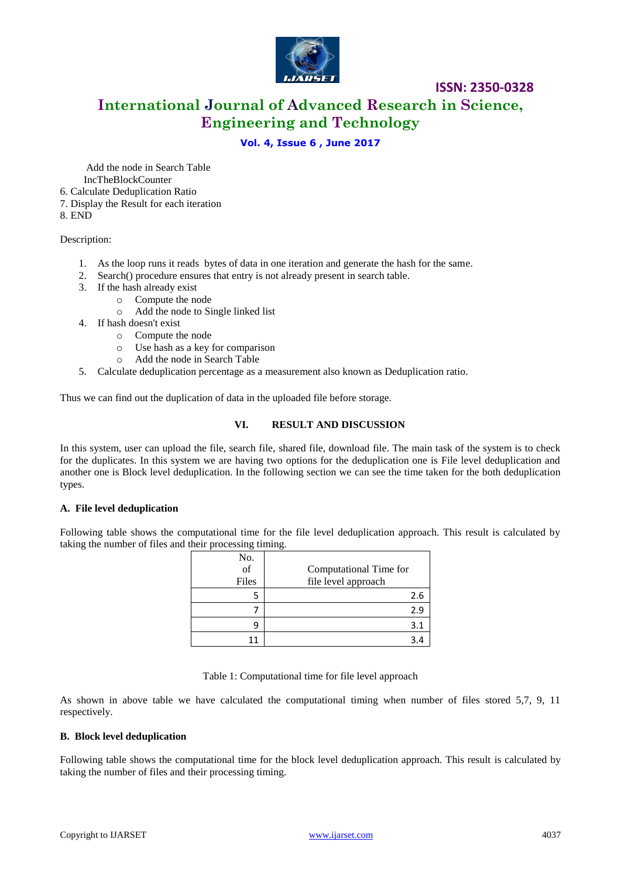

**International Journal of Advanced Research in Science, Engineering and Technology**

## **Vol. 4, Issue 6 , June 2017**

 Add the node in Search Table IncTheBlockCounter

- 6. Calculate Deduplication Ratio
- 7. Display the Result for each iteration
- 8. END

Description:

- 1. As the loop runs it reads bytes of data in one iteration and generate the hash for the same.
- 2. Search() procedure ensures that entry is not already present in search table.
- 3. If the hash already exist
	- o Compute the node
	- o Add the node to Single linked list
- 4. If hash doesn't exist
	- o Compute the node
	- o Use hash as a key for comparison
	- o Add the node in Search Table
- 5. Calculate deduplication percentage as a measurement also known as Deduplication ratio.

Thus we can find out the duplication of data in the uploaded file before storage.

#### **VI. RESULT AND DISCUSSION**

In this system, user can upload the file, search file, shared file, download file. The main task of the system is to check for the duplicates. In this system we are having two options for the deduplication one is File level deduplication and another one is Block level deduplication. In the following section we can see the time taken for the both deduplication types.

#### **A. File level deduplication**

Following table shows the computational time for the file level deduplication approach. This result is calculated by taking the number of files and their processing timing.

| No.<br>of<br>Files | Computational Time for<br>file level approach |
|--------------------|-----------------------------------------------|
|                    | 2.6                                           |
|                    | 2.9                                           |
| g                  | 3.1                                           |
|                    |                                               |

Table 1: Computational time for file level approach

As shown in above table we have calculated the computational timing when number of files stored 5,7, 9, 11 respectively.

#### **B. Block level deduplication**

Following table shows the computational time for the block level deduplication approach. This result is calculated by taking the number of files and their processing timing.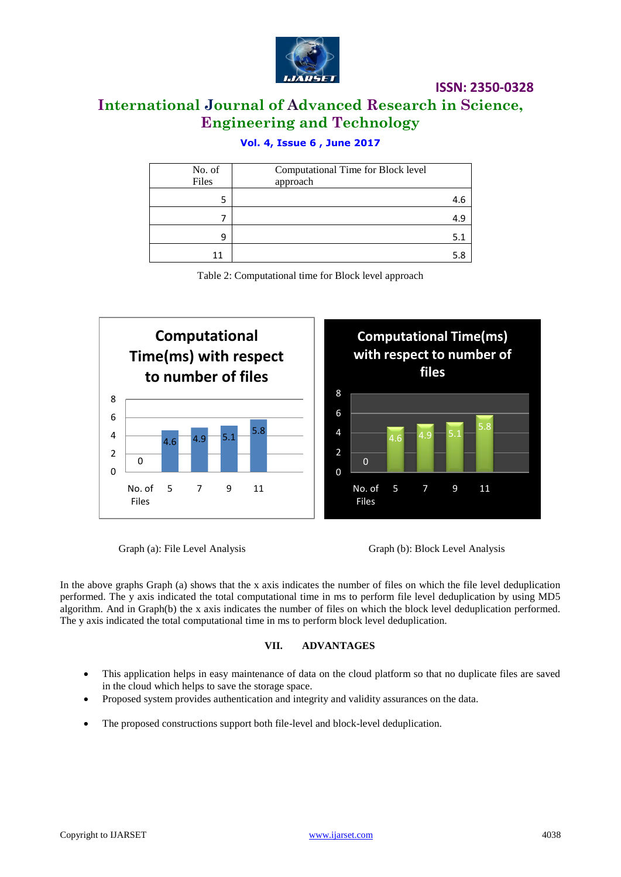

# **International Journal of Advanced Research in Science, Engineering and Technology**

# **Vol. 4, Issue 6 , June 2017**

| No. of<br>Files | Computational Time for Block level<br>approach |     |
|-----------------|------------------------------------------------|-----|
|                 |                                                | 4.6 |
|                 |                                                | 4.9 |
| q               |                                                | 5.1 |
| 11              |                                                |     |

Table 2: Computational time for Block level approach



Graph (a): File Level Analysis Graph (b): Block Level Analysis

In the above graphs Graph (a) shows that the x axis indicates the number of files on which the file level deduplication performed. The y axis indicated the total computational time in ms to perform file level deduplication by using MD5 algorithm. And in Graph(b) the x axis indicates the number of files on which the block level deduplication performed. The y axis indicated the total computational time in ms to perform block level deduplication.

## **VII. ADVANTAGES**

- This application helps in easy maintenance of data on the cloud platform so that no duplicate files are saved in the cloud which helps to save the storage space.
- Proposed system provides authentication and integrity and validity assurances on the data.
- The proposed constructions support both file-level and block-level deduplication.